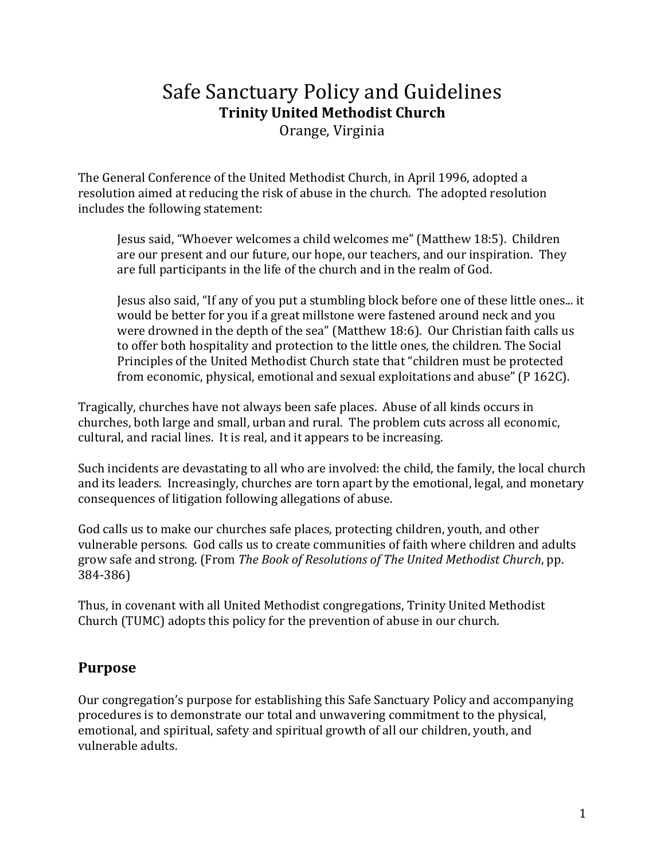# Safe Sanctuary Policy and Guidelines **Trinity United Methodist Church**

Orange, Virginia 

The General Conference of the United Methodist Church, in April 1996, adopted a resolution aimed at reducing the risk of abuse in the church. The adopted resolution includes the following statement:

Jesus said, "Whoever welcomes a child welcomes me" (Matthew 18:5). Children are our present and our future, our hope, our teachers, and our inspiration. They are full participants in the life of the church and in the realm of God.

Jesus also said, "If any of you put a stumbling block before one of these little ones... it would be better for you if a great millstone were fastened around neck and you were drowned in the depth of the sea" (Matthew 18:6). Our Christian faith calls us to offer both hospitality and protection to the little ones, the children. The Social Principles of the United Methodist Church state that "children must be protected from economic, physical, emotional and sexual exploitations and abuse" ( $P$  162C).

Tragically, churches have not always been safe places. Abuse of all kinds occurs in churches, both large and small, urban and rural. The problem cuts across all economic, cultural, and racial lines. It is real, and it appears to be increasing.

Such incidents are devastating to all who are involved: the child, the family, the local church and its leaders. Increasingly, churches are torn apart by the emotional, legal, and monetary consequences of litigation following allegations of abuse.

God calls us to make our churches safe places, protecting children, youth, and other vulnerable persons. God calls us to create communities of faith where children and adults grow safe and strong. (From *The Book of Resolutions of The United Methodist Church*, pp. 384‐386) 

Thus, in covenant with all United Methodist congregations, Trinity United Methodist Church (TUMC) adopts this policy for the prevention of abuse in our church.

## **Purpose**

Our congregation's purpose for establishing this Safe Sanctuary Policy and accompanying procedures is to demonstrate our total and unwavering commitment to the physical, emotional, and spiritual, safety and spiritual growth of all our children, youth, and vulnerable adults.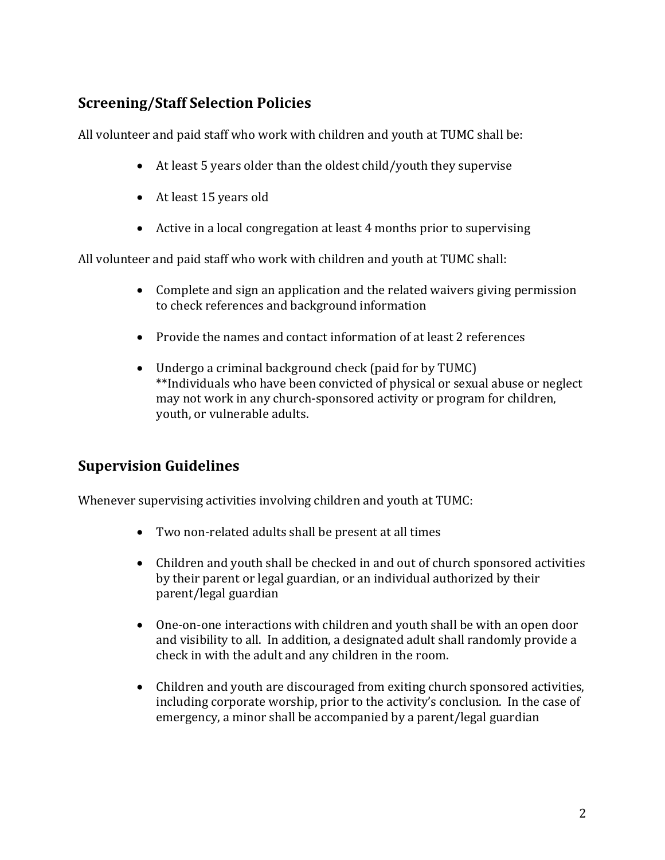# **Screening/Staff Selection Policies**

All volunteer and paid staff who work with children and youth at TUMC shall be:

- At least 5 years older than the oldest child/youth they supervise
- At least 15 years old
- Active in a local congregation at least  $4$  months prior to supervising

All volunteer and paid staff who work with children and youth at TUMC shall:

- Complete and sign an application and the related waivers giving permission to check references and background information
- Provide the names and contact information of at least 2 references
- Undergo a criminal background check (paid for by TUMC) \*\*Individuals who have been convicted of physical or sexual abuse or neglect may not work in any church-sponsored activity or program for children, youth, or vulnerable adults.

# **Supervision Guidelines**

Whenever supervising activities involving children and youth at TUMC:

- Two non-related adults shall be present at all times
- Children and youth shall be checked in and out of church sponsored activities by their parent or legal guardian, or an individual authorized by their parent/legal guardian
- One-on-one interactions with children and youth shall be with an open door and visibility to all. In addition, a designated adult shall randomly provide a check in with the adult and any children in the room.
- Children and youth are discouraged from exiting church sponsored activities, including corporate worship, prior to the activity's conclusion. In the case of emergency, a minor shall be accompanied by a parent/legal guardian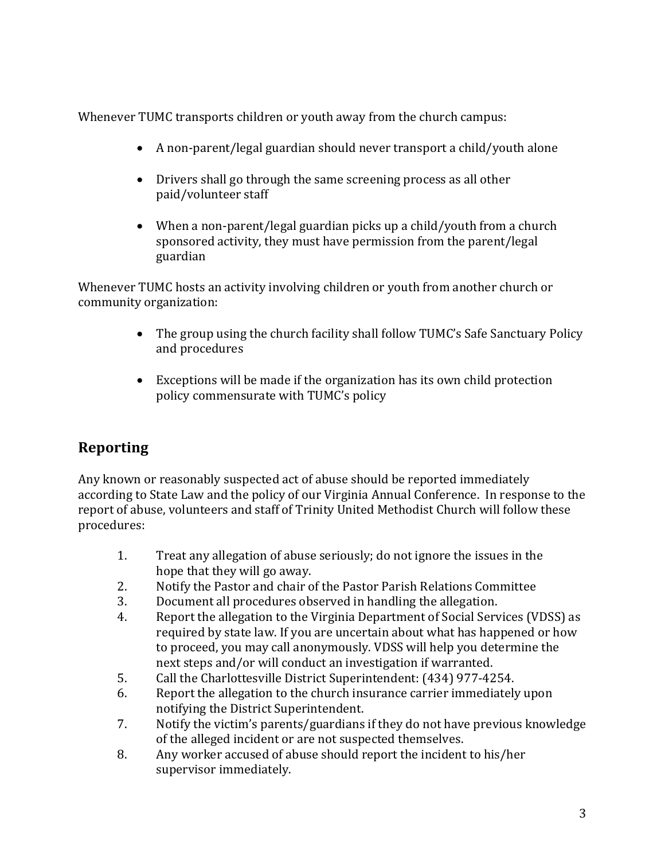Whenever TUMC transports children or youth away from the church campus:

- $\bullet$  A non-parent/legal guardian should never transport a child/youth alone
- Drivers shall go through the same screening process as all other paid/volunteer staff
- When a non-parent/legal guardian picks up a child/youth from a church sponsored activity, they must have permission from the parent/legal guardian

Whenever TUMC hosts an activity involving children or youth from another church or community organization: 

- The group using the church facility shall follow TUMC's Safe Sanctuary Policy and procedures
- Exceptions will be made if the organization has its own child protection policy commensurate with TUMC's policy

# **Reporting**

Any known or reasonably suspected act of abuse should be reported immediately according to State Law and the policy of our Virginia Annual Conference. In response to the report of abuse, volunteers and staff of Trinity United Methodist Church will follow these procedures: 

- 1. Treat any allegation of abuse seriously; do not ignore the issues in the hope that they will go away.
- 2. Notify the Pastor and chair of the Pastor Parish Relations Committee
- 3. Document all procedures observed in handling the allegation.
- 4. Report the allegation to the Virginia Department of Social Services (VDSS) as required by state law. If you are uncertain about what has happened or how to proceed, you may call anonymously. VDSS will help you determine the next steps and/or will conduct an investigation if warranted.
- 5. Call the Charlottesville District Superintendent: (434) 977-4254.
- 6. Report the allegation to the church insurance carrier immediately upon notifying the District Superintendent.
- 7. Notify the victim's parents/guardians if they do not have previous knowledge of the alleged incident or are not suspected themselves.
- 8. Any worker accused of abuse should report the incident to his/her supervisor immediately.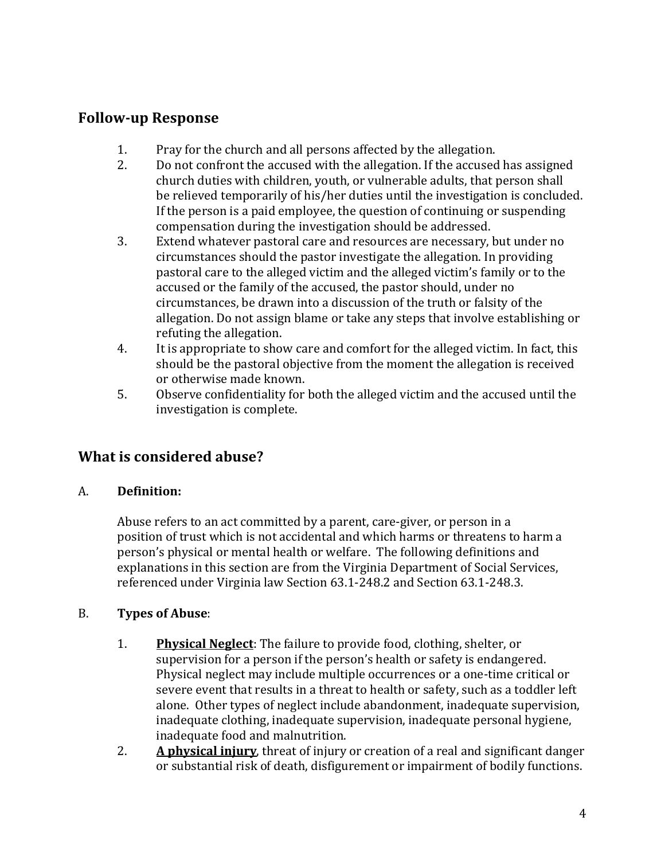#### **Follow‐up Response**

- 1. Pray for the church and all persons affected by the allegation.
- 2. Do not confront the accused with the allegation. If the accused has assigned church duties with children, youth, or vulnerable adults, that person shall be relieved temporarily of his/her duties until the investigation is concluded. If the person is a paid employee, the question of continuing or suspending compensation during the investigation should be addressed.
- 3. Extend whatever pastoral care and resources are necessary, but under no circumstances should the pastor investigate the allegation. In providing pastoral care to the alleged victim and the alleged victim's family or to the accused or the family of the accused, the pastor should, under no circumstances, be drawn into a discussion of the truth or falsity of the allegation. Do not assign blame or take any steps that involve establishing or refuting the allegation.
- 4. It is appropriate to show care and comfort for the alleged victim. In fact, this should be the pastoral objective from the moment the allegation is received or otherwise made known.
- 5. Observe confidentiality for both the alleged victim and the accused until the investigation is complete.

## **What is considered abuse?**

#### A. **Definition:**

Abuse refers to an act committed by a parent, care-giver, or person in a position of trust which is not accidental and which harms or threatens to harm a person's physical or mental health or welfare. The following definitions and explanations in this section are from the Virginia Department of Social Services, referenced under Virginia law Section 63.1-248.2 and Section 63.1-248.3.

#### B. **Types of Abuse**:

- 1. **Physical Neglect**: The failure to provide food, clothing, shelter, or supervision for a person if the person's health or safety is endangered. Physical neglect may include multiple occurrences or a one-time critical or severe event that results in a threat to health or safety, such as a toddler left alone. Other types of neglect include abandonment, inadequate supervision, inadequate clothing, inadequate supervision, inadequate personal hygiene, inadequate food and malnutrition.
- 2. **A physical injury**, threat of injury or creation of a real and significant danger or substantial risk of death, disfigurement or impairment of bodily functions.